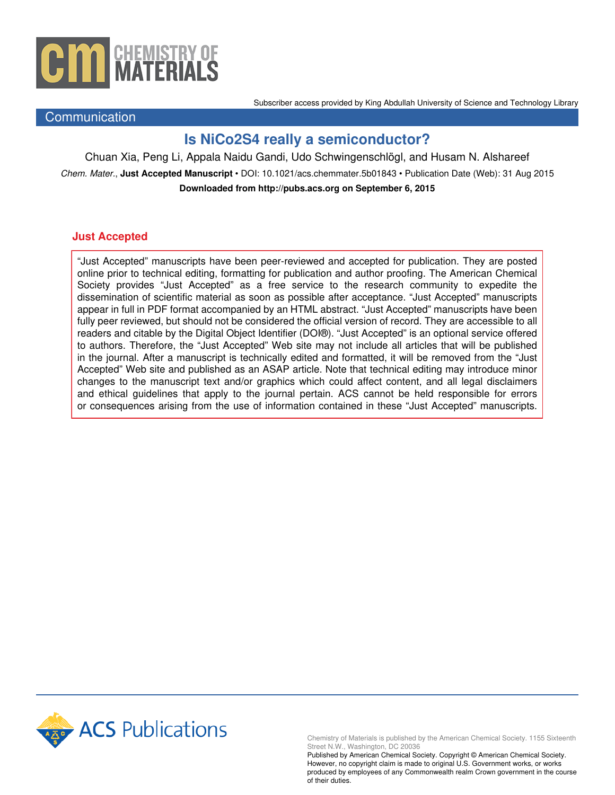

**Communication** 

Subscriber access provided by King Abdullah University of Science and Technology Library

## **Is NiCo2S4 really a semiconductor?**

Chuan Xia, Peng Li, Appala Naidu Gandi, Udo Schwingenschlögl, and Husam N. Alshareef Chem. Mater., **Just Accepted Manuscript** • DOI: 10.1021/acs.chemmater.5b01843 • Publication Date (Web): 31 Aug 2015 **Downloaded from http://pubs.acs.org on September 6, 2015**

### **Just Accepted**

"Just Accepted" manuscripts have been peer-reviewed and accepted for publication. They are posted online prior to technical editing, formatting for publication and author proofing. The American Chemical Society provides "Just Accepted" as a free service to the research community to expedite the dissemination of scientific material as soon as possible after acceptance. "Just Accepted" manuscripts appear in full in PDF format accompanied by an HTML abstract. "Just Accepted" manuscripts have been fully peer reviewed, but should not be considered the official version of record. They are accessible to all readers and citable by the Digital Object Identifier (DOI®). "Just Accepted" is an optional service offered to authors. Therefore, the "Just Accepted" Web site may not include all articles that will be published in the journal. After a manuscript is technically edited and formatted, it will be removed from the "Just Accepted" Web site and published as an ASAP article. Note that technical editing may introduce minor changes to the manuscript text and/or graphics which could affect content, and all legal disclaimers and ethical guidelines that apply to the journal pertain. ACS cannot be held responsible for errors or consequences arising from the use of information contained in these "Just Accepted" manuscripts.



Chemistry of Materials is published by the American Chemical Society. 1155 Sixteenth Street N.W., Washington, DC 20036

Published by American Chemical Society. Copyright © American Chemical Society. However, no copyright claim is made to original U.S. Government works, or works produced by employees of any Commonwealth realm Crown government in the course of their duties.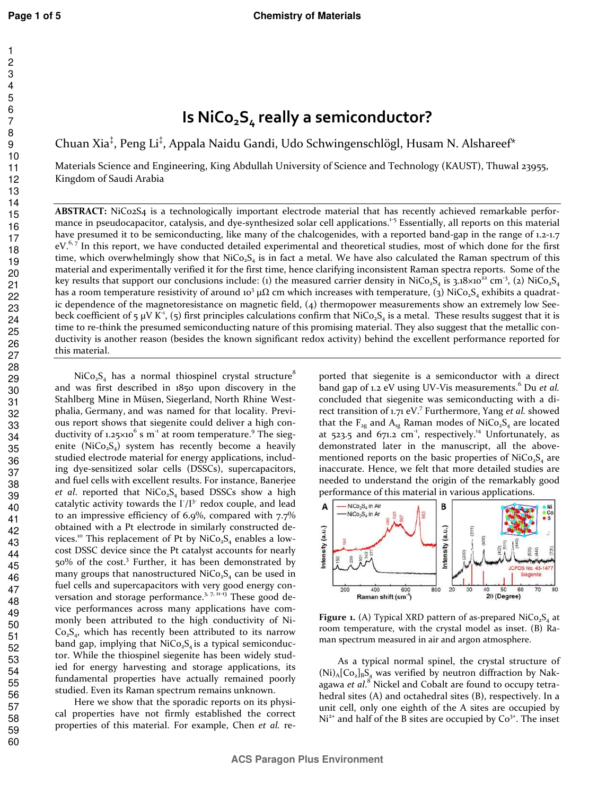## **Is NiCo2S4 really a semiconductor?**

Chuan Xia<sup>‡</sup>, Peng Li<sup>‡</sup>, Appala Naidu Gandi, Udo Schwingenschlögl, Husam N. Alshareef\*

Materials Science and Engineering, King Abdullah University of Science and Technology (KAUST), Thuwal 23955, Kingdom of Saudi Arabia

**ABSTRACT:** NiCo2S4 is a technologically important electrode material that has recently achieved remarkable performance in pseudocapacitor, catalysis, and dye-synthesized solar cell applications.<sup>1-5</sup> Essentially, all reports on this material have presumed it to be semiconducting, like many of the chalcogenides, with a reported band-gap in the range of 1.2-1.7  $eV^{\delta,7}$  In this report, we have conducted detailed experimental and theoretical studies, most of which done for the first time, which overwhelmingly show that  $NiCo<sub>2</sub>S<sub>4</sub>$  is in fact a metal. We have also calculated the Raman spectrum of this material and experimentally verified it for the first time, hence clarifying inconsistent Raman spectra reports. Some of the key results that support our conclusions include: (1) the measured carrier density in NiCo<sub>2</sub>S<sub>4</sub> is 3.18×10<sup>22</sup> cm<sup>-3</sup>, (2) NiCo<sub>2</sub>S<sub>4</sub> has a room temperature resistivity of around 10<sup>3</sup> µ $\Omega$  cm which increases with temperature, (3) NiCo<sub>2</sub>S<sub>4</sub> exhibits a quadratic dependence of the magnetoresistance on magnetic field, (4) thermopower measurements show an extremely low Seebeck coefficient of 5  $\mu$ V K<sup>-1</sup>, (5) first principles calculations confirm that NiCo<sub>2</sub>S<sub>4</sub> is a metal. These results suggest that it is time to re-think the presumed semiconducting nature of this promising material. They also suggest that the metallic conductivity is another reason (besides the known significant redox activity) behind the excellent performance reported for this material.

 $NiCo<sub>2</sub>S<sub>4</sub>$  has a normal thiospinel crystal structure<sup>8</sup> and was first described in 1850 upon discovery in the Stahlberg Mine in Müsen, Siegerland, North Rhine Westphalia, Germany, and was named for that locality. Previous report shows that siegenite could deliver a high conductivity of 1.25 $\times$ 10<sup>6</sup> s m<sup>-1</sup> at room temperature.<sup>9</sup> The siegenite (NiCo<sub>2</sub>S<sub>4</sub>) system has recently become a heavily studied electrode material for energy applications, including dye-sensitized solar cells (DSSCs), supercapacitors, and fuel cells with excellent results. For instance, Banerjee *et al.* reported that  $NiCo<sub>2</sub>S<sub>4</sub>$  based DSSCs show a high catalytic activity towards the  $\Gamma/I^{3-}$  redox couple, and lead to an impressive efficiency of 6.9%, compared with 7.7% obtained with a Pt electrode in similarly constructed devices.<sup>10</sup> This replacement of Pt by NiCo<sub>2</sub>S<sub>4</sub> enables a lowcost DSSC device since the Pt catalyst accounts for nearly 50% of the cost.<sup>3</sup> Further, it has been demonstrated by many groups that nanostructured  $NiCo<sub>2</sub>S<sub>4</sub>$  can be used in fuel cells and supercapacitors with very good energy conversation and storage performance.<sup>3, 7, 11-13</sup> These good device performances across many applications have commonly been attributed to the high conductivity of Ni- $Co_2S_4$ , which has recently been attributed to its narrow band gap, implying that  $NiCo<sub>2</sub>S<sub>4</sub>$  is a typical semiconductor. While the thiospinel siegenite has been widely studied for energy harvesting and storage applications, its fundamental properties have actually remained poorly studied. Even its Raman spectrum remains unknown.

Here we show that the sporadic reports on its physical properties have not firmly established the correct properties of this material. For example, Chen *et al.* reported that siegenite is a semiconductor with a direct band gap of 1.2 eV using UV-Vis measurements.<sup>6</sup> Du *et al*. concluded that siegenite was semiconducting with a direct transition of 1.71 eV.<sup>7</sup> Furthermore, Yang et al. showed that the  $F_{2g}$  and  $A_{1g}$  Raman modes of NiCo<sub>2</sub>S<sub>4</sub> are located at  $523.5$  and  $671.2$  cm<sup>-1</sup>, respectively.<sup>14</sup> Unfortunately, as demonstrated later in the manuscript, all the abovementioned reports on the basic properties of  $NiCo<sub>2</sub>S<sub>4</sub>$  are inaccurate. Hence, we felt that more detailed studies are needed to understand the origin of the remarkably good performance of this material in various applications.



Figure 1. (A) Typical XRD pattern of as-prepared NiCo<sub>2S4</sub> at room temperature, with the crystal model as inset. (B) Raman spectrum measured in air and argon atmosphere.

As a typical normal spinel, the crystal structure of  $(Ni)$ <sub>A</sub>[Co<sub>2</sub>]<sub>B</sub>S<sub>4</sub> was verified by neutron diffraction by Nakagawa et al.<sup>8</sup> Nickel and Cobalt are found to occupy tetrahedral sites (A) and octahedral sites (B), respectively. In a unit cell, only one eighth of the A sites are occupied by  $Ni<sup>2+</sup>$  and half of the B sites are occupied by  $Co<sup>3+</sup>$ . The inset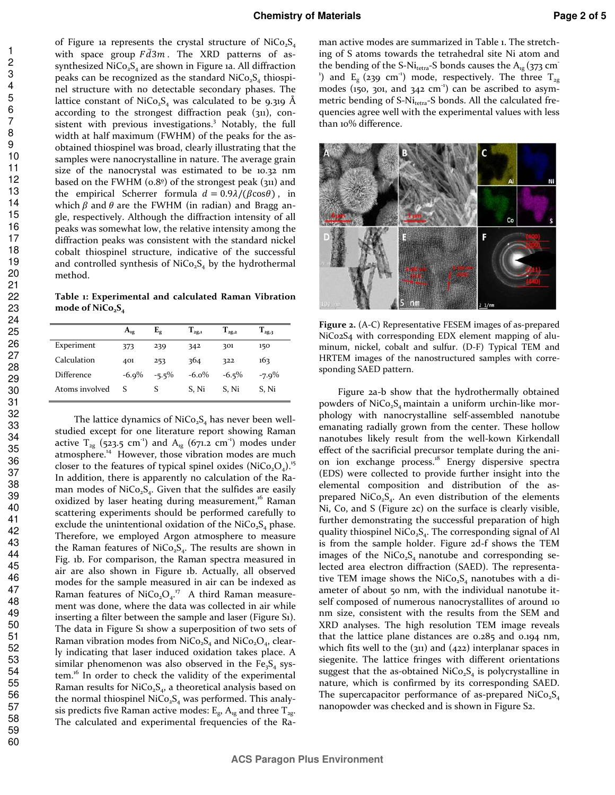of Figure 1a represents the crystal structure of  $NiCo<sub>2</sub>S<sub>4</sub>$ with space group  $F\bar{d}3m$ . The XRD patterns of assynthesized  $NiCo<sub>2</sub>S<sub>4</sub>$  are shown in Figure 1a. All diffraction peaks can be recognized as the standard  $NiCo<sub>2</sub>S<sub>4</sub>$  thiospinel structure with no detectable secondary phases. The lattice constant of NiCo<sub>2</sub>S<sub>4</sub> was calculated to be 9.319 Å according to the strongest diffraction peak (311), consistent with previous investigations.<sup>3</sup> Notably, the full width at half maximum (FWHM) of the peaks for the asobtained thiospinel was broad, clearly illustrating that the samples were nanocrystalline in nature. The average grain size of the nanocrystal was estimated to be 10.32 nm based on the FWHM ( $0.8^\circ$ ) of the strongest peak ( $311$ ) and the empirical Scherrer formula  $d = 0.9\lambda/(\beta \cos \theta)$ , in which  $\beta$  and  $\theta$  are the FWHM (in radian) and Bragg angle, respectively. Although the diffraction intensity of all peaks was somewhat low, the relative intensity among the diffraction peaks was consistent with the standard nickel cobalt thiospinel structure, indicative of the successful and controlled synthesis of  $NiCo<sub>2</sub>S<sub>4</sub>$  by the hydrothermal method.

**Table 1: Experimental and calculated Raman Vibration mode of NiCo2S<sup>4</sup>**

|                   | $A_{1g}$ | $\mathbf{F}_{\mathbf{g}}$ | $\Gamma_{\rm 2g,1}$ | $\mathrm{T}_\mathrm{2g,2}$ | $\Gamma_{2g,3}$ |
|-------------------|----------|---------------------------|---------------------|----------------------------|-----------------|
| Experiment        | 373      | 239                       | 342                 | 301                        | 150             |
| Calculation       | 401      | 253                       | 364                 | 322                        | 163             |
| <b>Difference</b> | $-6.9\%$ | $-5.5\%$                  | $-6.0\%$            | $-6.5\%$                   | $-7.9\%$        |
| Atoms involved    | S        |                           | S. Ni               | S. Ni                      | S, Ni           |

The lattice dynamics of  $NiCo<sub>2</sub>S<sub>4</sub>$  has never been wellstudied except for one literature report showing Raman active  $T_{2g}$  (523.5 cm<sup>-1</sup>) and  $A_{1g}$  (671.2 cm<sup>-1</sup>) modes under atmosphere.<sup>14</sup> However, those vibration modes are much closer to the features of typical spinel oxides (NiCo, $Q_4$ ).<sup>15</sup> In addition, there is apparently no calculation of the Raman modes of NiCo<sub>2</sub>S<sub>4</sub>. Given that the sulfides are easily oxidized by laser heating during measurement,<sup>16</sup> Raman scattering experiments should be performed carefully to exclude the unintentional oxidation of the  $NiCo<sub>2</sub>S<sub>4</sub>$  phase. Therefore, we employed Argon atmosphere to measure the Raman features of NiCo<sub>2</sub>S<sub>4</sub>. The results are shown in Fig. 1b. For comparison, the Raman spectra measured in air are also shown in Figure 1b. Actually, all observed modes for the sample measured in air can be indexed as Raman features of NiCo<sub>2</sub>O<sub>4</sub>.<sup>17</sup> A third Raman measurement was done, where the data was collected in air while inserting a filter between the sample and laser (Figure S1). The data in Figure S1 show a superposition of two sets of Raman vibration modes from  $NiCo<sub>2</sub>S<sub>4</sub>$  and  $NiCo<sub>2</sub>O<sub>4</sub>$ , clearly indicating that laser induced oxidation takes place. A similar phenomenon was also observed in the  $Fe<sub>3</sub>S<sub>4</sub>$  system.<sup>16</sup> In order to check the validity of the experimental Raman results for NiCo<sub>2</sub>S<sub>4</sub>, a theoretical analysis based on the normal thiospinel  $NiCo<sub>2</sub>S<sub>4</sub>$  was performed. This analysis predicts five Raman active modes:  $E_{\rm g}$ ,  $A_{\rm ig}$  and three  $T_{\rm 2g}$ . The calculated and experimental frequencies of the Ra-

man active modes are summarized in Table 1. The stretching of S atoms towards the tetrahedral site Ni atom and the bending of the S-Ni<sub>tetra</sub>-S bonds causes the  $A_{1g}$  (373 cm<sup>-</sup> <sup>1</sup>) and  $E_{g}$  (239 cm<sup>-1</sup>) mode, respectively. The three  $T_{2g}$ modes (150, 301, and 342  $cm^{-1}$ ) can be ascribed to asymmetric bending of S-Ni<sub>tetra</sub>-S bonds. All the calculated frequencies agree well with the experimental values with less than 10% difference.



**Figure 2.** (A-C) Representative FESEM images of as-prepared NiCo2S4 with corresponding EDX element mapping of aluminum, nickel, cobalt and sulfur. (D-F) Typical TEM and HRTEM images of the nanostructured samples with corresponding SAED pattern.

Figure 2a-b show that the hydrothermally obtained powders of  $NiCo<sub>2</sub>S<sub>4</sub>$  maintain a uniform urchin-like morphology with nanocrystalline self-assembled nanotube emanating radially grown from the center. These hollow nanotubes likely result from the well-kown Kirkendall effect of the sacrificial precursor template during the anion ion exchange process.<sup>18</sup> Energy dispersive spectra (EDS) were collected to provide further insight into the elemental composition and distribution of the asprepared NiCo<sub>2</sub>S<sub>4</sub>. An even distribution of the elements Ni, Co, and S (Figure 2c) on the surface is clearly visible, further demonstrating the successful preparation of high quality thiospinel NiCo<sub>2</sub>S<sub>4</sub>. The corresponding signal of Al is from the sample holder. Figure 2d-f shows the TEM images of the  $NiCo<sub>2</sub>S<sub>4</sub>$  nanotube and corresponding selected area electron diffraction (SAED). The representative TEM image shows the  $NiCo<sub>2</sub>S<sub>4</sub>$  nanotubes with a diameter of about 50 nm, with the individual nanotube itself composed of numerous nanocrystallites of around 10 nm size, consistent with the results from the SEM and XRD analyses. The high resolution TEM image reveals that the lattice plane distances are 0.285 and 0.194 nm, which fits well to the (311) and (422) interplanar spaces in siegenite. The lattice fringes with different orientations suggest that the as-obtained  $NiCo<sub>2</sub>S<sub>4</sub>$  is polycrystalline in nature, which is confirmed by its corresponding SAED. The supercapacitor performance of as-prepared  $NiCo<sub>2</sub>S<sub>4</sub>$ nanopowder was checked and is shown in Figure S2.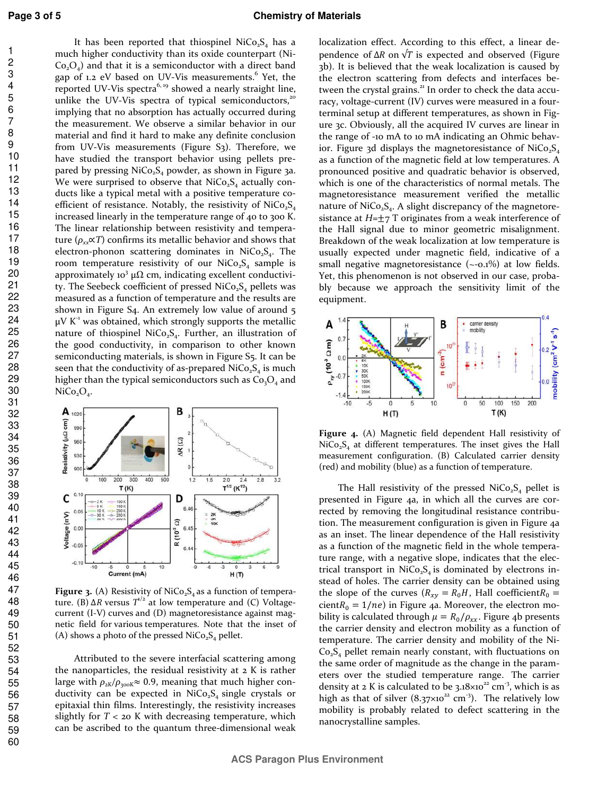It has been reported that thiospinel  $NiCo<sub>2</sub>S<sub>4</sub>$  has a much higher conductivity than its oxide counterpart (Ni- $Co_2O_4$ ) and that it is a semiconductor with a direct band gap of 1.2 eV based on UV-Vis measurements.<sup>6</sup> Yet, the reported UV-Vis spectra<sup>6, 19</sup> showed a nearly straight line, unlike the UV-Vis spectra of typical semiconductors,<sup>20</sup> implying that no absorption has actually occurred during the measurement. We observe a similar behavior in our material and find it hard to make any definite conclusion from UV-Vis measurements (Figure S<sub>3</sub>). Therefore, we have studied the transport behavior using pellets prepared by pressing  $NiCo<sub>2</sub>S<sub>4</sub>$  powder, as shown in Figure 3a. We were surprised to observe that  $NiCo<sub>2</sub>S<sub>4</sub>$  actually conducts like a typical metal with a positive temperature coefficient of resistance. Notably, the resistivity of  $NiCo<sub>2</sub>S<sub>4</sub>$ increased linearly in the temperature range of 40 to 300 K. The linear relationship between resistivity and temperature ( $\rho_{xx} \propto T$ ) confirms its metallic behavior and shows that electron-phonon scattering dominates in  $NiCo<sub>2</sub>S<sub>4</sub>$ . The room temperature resistivity of our  $NiCo<sub>2</sub>S<sub>4</sub>$  sample is approximately 10<sup>3</sup> µ $\Omega$  cm, indicating excellent conductivity. The Seebeck coefficient of pressed  $NiCo<sub>2</sub>S<sub>4</sub>$  pellets was measured as a function of temperature and the results are shown in Figure S4. An extremely low value of around 5  $\mu$ V K<sup>-1</sup> was obtained, which strongly supports the metallic nature of thiospinel NiCo<sub>2</sub>S<sub>4</sub>. Further, an illustration of the good conductivity, in comparison to other known semiconducting materials, is shown in Figure S5. It can be seen that the conductivity of as-prepared  $NiCo<sub>2</sub>S<sub>4</sub>$  is much higher than the typical semiconductors such as  $Co<sub>3</sub>O<sub>4</sub>$  and  $NiCo<sub>2</sub>O<sub>4</sub>$ .



Figure 3. (A) Resistivity of NiCo<sub>2</sub>S<sub>4</sub> as a function of temperature. (B)  $\Delta R$  versus  $T^{1/2}$  at low temperature and (C) Voltagecurrent (I-V) curves and (D) magnetoresistance against magnetic field for various temperatures. Note that the inset of (A) shows a photo of the pressed  $NiCo<sub>2</sub>S<sub>4</sub>$  pellet.

Attributed to the severe interfacial scattering among the nanoparticles, the residual resistivity at 2 K is rather large with  $\rho_{2K}/\rho_{300K} \approx 0.9$ , meaning that much higher conductivity can be expected in  $NiCo<sub>2</sub>S<sub>4</sub>$  single crystals or epitaxial thin films. Interestingly, the resistivity increases slightly for *T* < 20 K with decreasing temperature, which can be ascribed to the quantum three-dimensional weak

localization effect. According to this effect, a linear dependence of  $\Delta R$  on  $\sqrt{T}$  is expected and observed (Figure 3b). It is believed that the weak localization is caused by the electron scattering from defects and interfaces between the crystal grains.<sup>21</sup> In order to check the data accuracy, voltage-current (IV) curves were measured in a fourterminal setup at different temperatures, as shown in Figure 3c. Obviously, all the acquired IV curves are linear in the range of -10 mA to 10 mA indicating an Ohmic behavior. Figure 3d displays the magnetoresistance of  $NiCo<sub>5</sub>$ as a function of the magnetic field at low temperatures. A pronounced positive and quadratic behavior is observed, which is one of the characteristics of normal metals. The magnetoresistance measurement verified the metallic nature of  $NiCo<sub>2</sub>S<sub>4</sub>$ . A slight discrepancy of the magnetoresistance at  $H=\pm 7$  T originates from a weak interference of the Hall signal due to minor geometric misalignment. Breakdown of the weak localization at low temperature is usually expected under magnetic field, indicative of a small negative magnetoresistance (~-0.1%) at low fields. Yet, this phenomenon is not observed in our case, probably because we approach the sensitivity limit of the equipment.



**Figure 4.** (A) Magnetic field dependent Hall resistivity of  $NiCo<sub>2</sub>S<sub>4</sub>$  at different temperatures. The inset gives the Hall measurement configuration. (B) Calculated carrier density (red) and mobility (blue) as a function of temperature.

The Hall resistivity of the pressed  $NiCo<sub>2</sub>S<sub>4</sub>$  pellet is presented in Figure 4a, in which all the curves are corrected by removing the longitudinal resistance contribution. The measurement configuration is given in Figure 4a as an inset. The linear dependence of the Hall resistivity as a function of the magnetic field in the whole temperature range, with a negative slope, indicates that the electrical transport in  $NiCo<sub>2</sub>S<sub>4</sub>$  is dominated by electrons instead of holes. The carrier density can be obtained using the slope of the curves ( $R_{xy} = R_0 H$ , Hall coefficient $R_0 =$ cient  $R_0 = 1/ne$ ) in Figure 4a. Moreover, the electron mobility is calculated through  $\mu = R_0/\rho_{xx}$ . Figure 4b presents the carrier density and electron mobility as a function of temperature. The carrier density and mobility of the Ni- $Co<sub>2</sub>S<sub>4</sub>$  pellet remain nearly constant, with fluctuations on the same order of magnitude as the change in the parameters over the studied temperature range. The carrier density at 2 K is calculated to be  $3.18 \times 10^{22}$  cm<sup>-3</sup>, which is as high as that of silver  $(8.37 \times 10^{22} \text{ cm}^3)$ . The relatively low mobility is probably related to defect scattering in the nanocrystalline samples.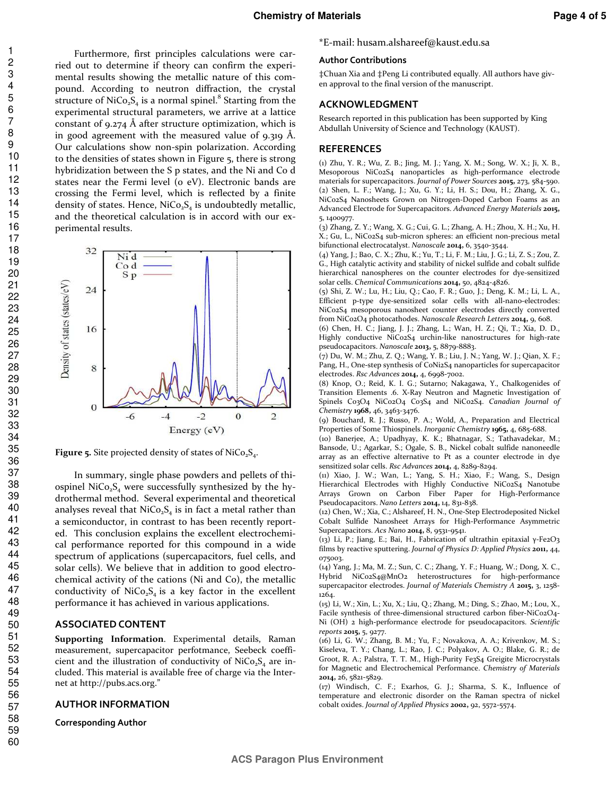Furthermore, first principles calculations were carried out to determine if theory can confirm the experimental results showing the metallic nature of this compound. According to neutron diffraction, the crystal structure of NiCo<sub>2</sub>S<sub>4</sub> is a normal spinel.<sup>8</sup> Starting from the experimental structural parameters, we arrive at a lattice constant of 9.274 Å after structure optimization, which is in good agreement with the measured value of 9.319 Å. Our calculations show non-spin polarization. According to the densities of states shown in Figure 5, there is strong hybridization between the S p states, and the Ni and Co d states near the Fermi level (0 eV). Electronic bands are crossing the Fermi level, which is reflected by a finite density of states. Hence,  $NiCo<sub>2</sub>S<sub>4</sub>$  is undoubtedly metallic, and the theoretical calculation is in accord with our experimental results.



**Figure 5.** Site projected density of states of  $NiCo<sub>2</sub>S<sub>4</sub>$ .

In summary, single phase powders and pellets of thiospinel Ni $Co<sub>2</sub>S<sub>4</sub>$  were successfully synthesized by the hydrothermal method. Several experimental and theoretical analyses reveal that  $NiCo<sub>2</sub>S<sub>4</sub>$  is in fact a metal rather than a semiconductor, in contrast to has been recently reported. This conclusion explains the excellent electrochemical performance reported for this compound in a wide spectrum of applications (supercapacitors, fuel cells, and solar cells). We believe that in addition to good electrochemical activity of the cations (Ni and Co), the metallic conductivity of  $NiCo<sub>2</sub>S<sub>4</sub>$  is a key factor in the excellent performance it has achieved in various applications.

#### **ASSOCIATED CONTENT**

**Supporting Information**. Experimental details, Raman measurement, supercapacitor perfotmance, Seebeck coefficient and the illustration of conductivity of  $NiCo<sub>2</sub>S<sub>4</sub>$  are included. This material is available free of charge via the Internet at http://pubs.acs.org."

#### **AUTHOR INFORMATION**

**Corresponding Author** 

#### \*E-mail: husam.alshareef@kaust.edu.sa

#### **Author Contributions**

‡Chuan Xia and ‡Peng Li contributed equally. All authors have given approval to the final version of the manuscript.

#### **ACKNOWLEDGMENT**

Research reported in this publication has been supported by King Abdullah University of Science and Technology (KAUST).

#### **REFERENCES**

(1) Zhu, Y. R.; Wu, Z. B.; Jing, M. J.; Yang, X. M.; Song, W. X.; Ji, X. B., Mesoporous NiCo2S4 nanoparticles as high-performance electrode materials for supercapacitors. *Journal of Power Sources* **2015,** 273, 584-590. (2) Shen, L. F.; Wang, J.; Xu, G. Y.; Li, H. S.; Dou, H.; Zhang, X. G., NiCo2S4 Nanosheets Grown on Nitrogen-Doped Carbon Foams as an Advanced Electrode for Supercapacitors. *Advanced Energy Materials* **2015,** 5, 1400977.

(3) Zhang, Z. Y.; Wang, X. G.; Cui, G. L.; Zhang, A. H.; Zhou, X. H.; Xu, H. X.; Gu, L., NiCo2S4 sub-micron spheres: an efficient non-precious metal bifunctional electrocatalyst. *Nanoscale* **2014,** 6, 3540-3544.

(4) Yang, J.; Bao, C. X.; Zhu, K.; Yu, T.; Li, F. M.; Liu, J. G.; Li, Z. S.; Zou, Z. G., High catalytic activity and stability of nickel sulfide and cobalt sulfide hierarchical nanospheres on the counter electrodes for dye-sensitized solar cells. *Chemical Communications* **2014,** 50, 4824-4826.

(5) Shi, Z. W.; Lu, H.; Liu, Q.; Cao, F. R.; Guo, J.; Deng, K. M.; Li, L. A., Efficient p-type dye-sensitized solar cells with all-nano-electrodes: NiCo2S4 mesoporous nanosheet counter electrodes directly converted from NiCo2O4 photocathodes. *Nanoscale Research Letters* **2014,** 9, 608.

(6) Chen, H. C.; Jiang, J. J.; Zhang, L.; Wan, H. Z.; Qi, T.; Xia, D. D., Highly conductive NiCo2S4 urchin-like nanostructures for high-rate pseudocapacitors. *Nanoscale* **2013,** 5, 8879-8883.

(7) Du, W. M.; Zhu, Z. Q.; Wang, Y. B.; Liu, J. N.; Yang, W. J.; Qian, X. F.; Pang, H., One-step synthesis of CoNi2S4 nanoparticles for supercapacitor electrodes. *Rsc Advances* **2014,** 4, 6998-7002.

(8) Knop, O.; Reid, K. I. G.; Sutarno; Nakagawa, Y., Chalkogenides of Transition Elements .6. X-Ray Neutron and Magnetic Investigation of Spinels Co3O4 NiCo2O4 Co3S4 and NiCo2S4. *Canadian Journal of Chemistry* **1968,** 46, 3463-3476.

(9) Bouchard, R. J.; Russo, P. A.; Wold, A., Preparation and Electrical Properties of Some Thiospinels. *Inorganic Chemistry* **1965,** 4, 685-688.

(10) Banerjee, A.; Upadhyay, K. K.; Bhatnagar, S.; Tathavadekar, M.; Bansode, U.; Agarkar, S.; Ogale, S. B., Nickel cobalt sulfide nanoneedle array as an effective alternative to Pt as a counter electrode in dye sensitized solar cells. *Rsc Advances* **2014,** 4, 8289-8294.

(11) Xiao, J. W.; Wan, L.; Yang, S. H.; Xiao, F.; Wang, S., Design Hierarchical Electrodes with Highly Conductive NiCo2S4 Nanotube Arrays Grown on Carbon Fiber Paper for High-Performance Pseudocapacitors. *Nano Letters* **2014,** 14, 831-838.

(12) Chen, W.; Xia, C.; Alshareef, H. N., One-Step Electrodeposited Nickel Cobalt Sulfide Nanosheet Arrays for High-Performance Asymmetric Supercapacitors. *Acs Nano* **2014,** 8, 9531-9541.

(13) Li, P.; Jiang, E.; Bai, H., Fabrication of ultrathin epitaxial γ-Fe2O3 films by reactive sputtering. *Journal of Physics D: Applied Physics* **2011,** 44, 075003.

(14) Yang, J.; Ma, M. Z.; Sun, C. C.; Zhang, Y. F.; Huang, W.; Dong, X. C., Hybrid NiCo2S4@MnO2 heterostructures for high-performance supercapacitor electrodes. *Journal of Materials Chemistry A* **2015,** 3, 1258- 1264.

(15) Li, W.; Xin, L.; Xu, X.; Liu, Q.; Zhang, M.; Ding, S.; Zhao, M.; Lou, X., Facile synthesis of three-dimensional structured carbon fiber-NiCo2O4- Ni (OH) 2 high-performance electrode for pseudocapacitors. *Scientific reports* **2015,** 5, 9277.

(16) Li, G. W.; Zhang, B. M.; Yu, F.; Novakova, A. A.; Krivenkov, M. S.; Kiseleva, T. Y.; Chang, L.; Rao, J. C.; Polyakov, A. O.; Blake, G. R.; de Groot, R. A.; Palstra, T. T. M., High-Purity Fe3S4 Greigite Microcrystals for Magnetic and Electrochemical Performance. *Chemistry of Materials*  **2014,** 26, 5821-5829.

(17) Windisch, C. F.; Exarhos, G. J.; Sharma, S. K., Influence of temperature and electronic disorder on the Raman spectra of nickel cobalt oxides. *Journal of Applied Physics* **2002,** 92, 5572-5574.